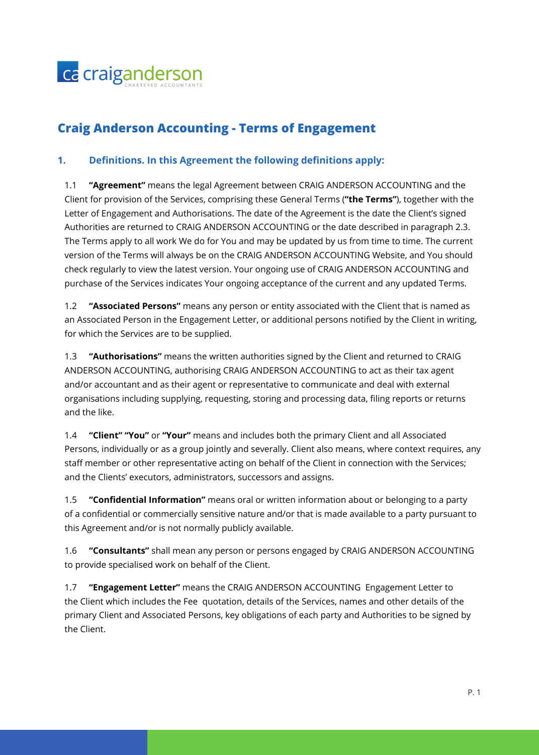

# **Craig Anderson Accounting - Terms of Engagement**

# **1. Definitions. In this Agreement the following definitions apply:**

1.1 **"Agreement"** means the legal Agreement between CRAIG ANDERSON ACCOUNTING and the Client for provision of the Services, comprising these General Terms (**"the Terms"**), together with the Letter of Engagement and Authorisations. The date of the Agreement is the date the Client's signed Authorities are returned to CRAIG ANDERSON ACCOUNTING or the date described in paragraph 2.3. The Terms apply to all work We do for You and may be updated by us from time to time. The current version of the Terms will always be on the CRAIG ANDERSON ACCOUNTING Website, and You should check regularly to view the latest version. Your ongoing use of CRAIG ANDERSON ACCOUNTING and purchase of the Services indicates Your ongoing acceptance of the current and any updated Terms.

1.2 **"Associated Persons"** means any person or entity associated with the Client that is named as an Associated Person in the Engagement Letter, or additional persons notified by the Client in writing, for which the Services are to be supplied.

1.3 **"Authorisations"** means the written authorities signed by the Client and returned to CRAIG ANDERSON ACCOUNTING, authorising CRAIG ANDERSON ACCOUNTING to act as their tax agent and/or accountant and as their agent or representative to communicate and deal with external organisations including supplying, requesting, storing and processing data, filing reports or returns and the like.

1.4 **"Client" "You"** or **"Your"** means and includes both the primary Client and all Associated Persons, individually or as a group jointly and severally. Client also means, where context requires, any staff member or other representative acting on behalf of the Client in connection with the Services; and the Clients' executors, administrators, successors and assigns.

1.5 **"Confidential Information"** means oral or written information about or belonging to a party of a confidential or commercially sensitive nature and/or that is made available to a party pursuant to this Agreement and/or is not normally publicly available.

1.6 **"Consultants"** shall mean any person or persons engaged by CRAIG ANDERSON ACCOUNTING to provide specialised work on behalf of the Client.

1.7 **"Engagement Letter"** means the CRAIG ANDERSON ACCOUNTING Engagement Letter to the Client which includes the Fee quotation, details of the Services, names and other details of the primary Client and Associated Persons, key obligations of each party and Authorities to be signed by the Client.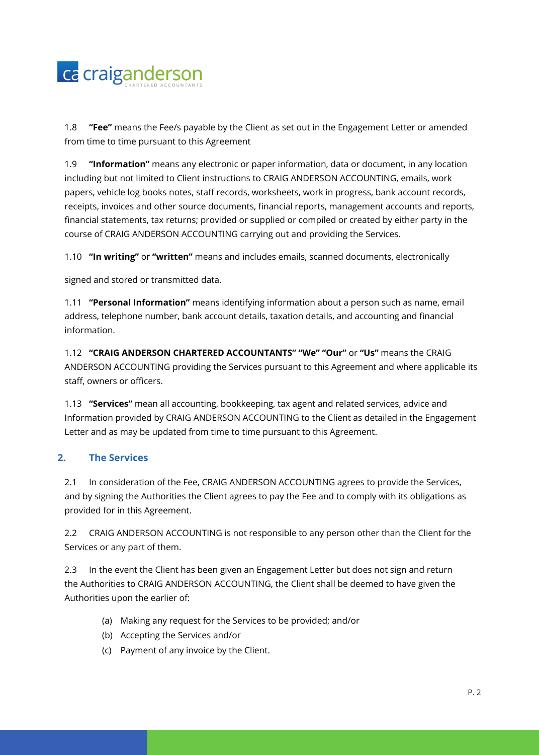

1.8 **"Fee"** means the Fee/s payable by the Client as set out in the Engagement Letter or amended from time to time pursuant to this Agreement

1.9 **"Information"** means any electronic or paper information, data or document, in any location including but not limited to Client instructions to CRAIG ANDERSON ACCOUNTING, emails, work papers, vehicle log books notes, staff records, worksheets, work in progress, bank account records, receipts, invoices and other source documents, financial reports, management accounts and reports, financial statements, tax returns; provided or supplied or compiled or created by either party in the course of CRAIG ANDERSON ACCOUNTING carrying out and providing the Services.

1.10 **"In writing"** or **"written"** means and includes emails, scanned documents, electronically

signed and stored or transmitted data.

1.11 **"Personal Information"** means identifying information about a person such as name, email address, telephone number, bank account details, taxation details, and accounting and financial information.

1.12 **"CRAIG ANDERSON CHARTERED ACCOUNTANTS" "We" "Our"** or **"Us"** means the CRAIG ANDERSON ACCOUNTING providing the Services pursuant to this Agreement and where applicable its staff, owners or officers.

1.13 **"Services"** mean all accounting, bookkeeping, tax agent and related services, advice and Information provided by CRAIG ANDERSON ACCOUNTING to the Client as detailed in the Engagement Letter and as may be updated from time to time pursuant to this Agreement.

# **2. The Services**

2.1 In consideration of the Fee, CRAIG ANDERSON ACCOUNTING agrees to provide the Services, and by signing the Authorities the Client agrees to pay the Fee and to comply with its obligations as provided for in this Agreement.

2.2 CRAIG ANDERSON ACCOUNTING is not responsible to any person other than the Client for the Services or any part of them.

2.3 In the event the Client has been given an Engagement Letter but does not sign and return the Authorities to CRAIG ANDERSON ACCOUNTING, the Client shall be deemed to have given the Authorities upon the earlier of:

- (a) Making any request for the Services to be provided; and/or
- (b) Accepting the Services and/or
- (c) Payment of any invoice by the Client.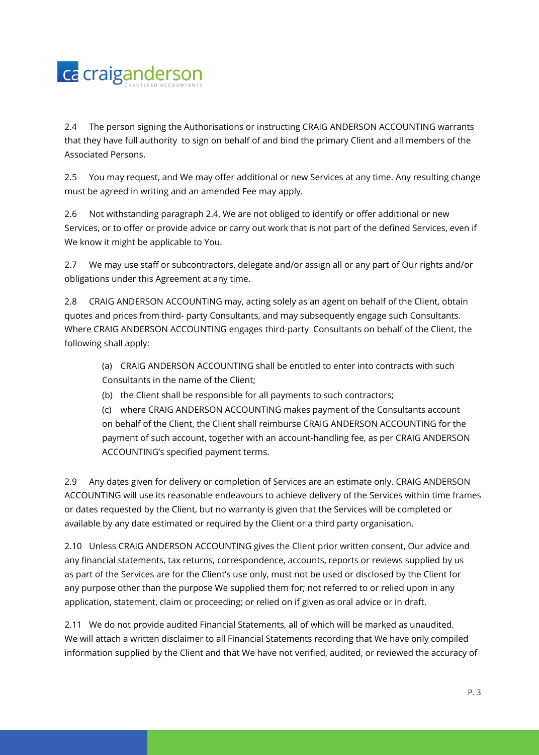

2.4 The person signing the Authorisations or instructing CRAIG ANDERSON ACCOUNTING warrants that they have full authority to sign on behalf of and bind the primary Client and all members of the Associated Persons.

2.5 You may request, and We may offer additional or new Services at any time. Any resulting change must be agreed in writing and an amended Fee may apply.

2.6 Not withstanding paragraph 2.4, We are not obliged to identify or offer additional or new Services, or to offer or provide advice or carry out work that is not part of the defined Services, even if We know it might be applicable to You.

2.7 We may use staff or subcontractors, delegate and/or assign all or any part of Our rights and/or obligations under this Agreement at any time.

2.8 CRAIG ANDERSON ACCOUNTING may, acting solely as an agent on behalf of the Client, obtain quotes and prices from third- party Consultants, and may subsequently engage such Consultants. Where CRAIG ANDERSON ACCOUNTING engages third-party Consultants on behalf of the Client, the following shall apply:

- (a) CRAIG ANDERSON ACCOUNTING shall be entitled to enter into contracts with such Consultants in the name of the Client;
- (b) the Client shall be responsible for all payments to such contractors;

(c) where CRAIG ANDERSON ACCOUNTING makes payment of the Consultants account on behalf of the Client, the Client shall reimburse CRAIG ANDERSON ACCOUNTING for the payment of such account, together with an account-handling fee, as per CRAIG ANDERSON ACCOUNTING's specified payment terms.

2.9 Any dates given for delivery or completion of Services are an estimate only. CRAIG ANDERSON ACCOUNTING will use its reasonable endeavours to achieve delivery of the Services within time frames or dates requested by the Client, but no warranty is given that the Services will be completed or available by any date estimated or required by the Client or a third party organisation.

2.10 Unless CRAIG ANDERSON ACCOUNTING gives the Client prior written consent, Our advice and any financial statements, tax returns, correspondence, accounts, reports or reviews supplied by us as part of the Services are for the Client's use only, must not be used or disclosed by the Client for any purpose other than the purpose We supplied them for; not referred to or relied upon in any application, statement, claim or proceeding; or relied on if given as oral advice or in draft.

2.11 We do not provide audited Financial Statements, all of which will be marked as unaudited. We will attach a written disclaimer to all Financial Statements recording that We have only compiled information supplied by the Client and that We have not verified, audited, or reviewed the accuracy of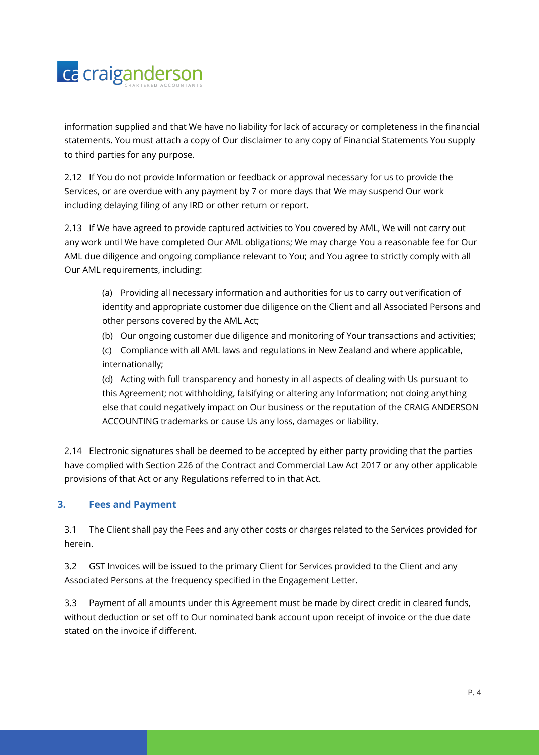

information supplied and that We have no liability for lack of accuracy or completeness in the financial statements. You must attach a copy of Our disclaimer to any copy of Financial Statements You supply to third parties for any purpose.

2.12 If You do not provide Information or feedback or approval necessary for us to provide the Services, or are overdue with any payment by 7 or more days that We may suspend Our work including delaying filing of any IRD or other return or report.

2.13 If We have agreed to provide captured activities to You covered by AML, We will not carry out any work until We have completed Our AML obligations; We may charge You a reasonable fee for Our AML due diligence and ongoing compliance relevant to You; and You agree to strictly comply with all Our AML requirements, including:

- (a) Providing all necessary information and authorities for us to carry out verification of identity and appropriate customer due diligence on the Client and all Associated Persons and other persons covered by the AML Act;
- (b) Our ongoing customer due diligence and monitoring of Your transactions and activities;
- (c) Compliance with all AML laws and regulations in New Zealand and where applicable, internationally;

(d) Acting with full transparency and honesty in all aspects of dealing with Us pursuant to this Agreement; not withholding, falsifying or altering any Information; not doing anything else that could negatively impact on Our business or the reputation of the CRAIG ANDERSON ACCOUNTING trademarks or cause Us any loss, damages or liability.

2.14 Electronic signatures shall be deemed to be accepted by either party providing that the parties have complied with Section 226 of the Contract and Commercial Law Act 2017 or any other applicable provisions of that Act or any Regulations referred to in that Act.

# **3. Fees and Payment**

3.1 The Client shall pay the Fees and any other costs or charges related to the Services provided for herein.

3.2 GST Invoices will be issued to the primary Client for Services provided to the Client and any Associated Persons at the frequency specified in the Engagement Letter.

3.3 Payment of all amounts under this Agreement must be made by direct credit in cleared funds, without deduction or set off to Our nominated bank account upon receipt of invoice or the due date stated on the invoice if different.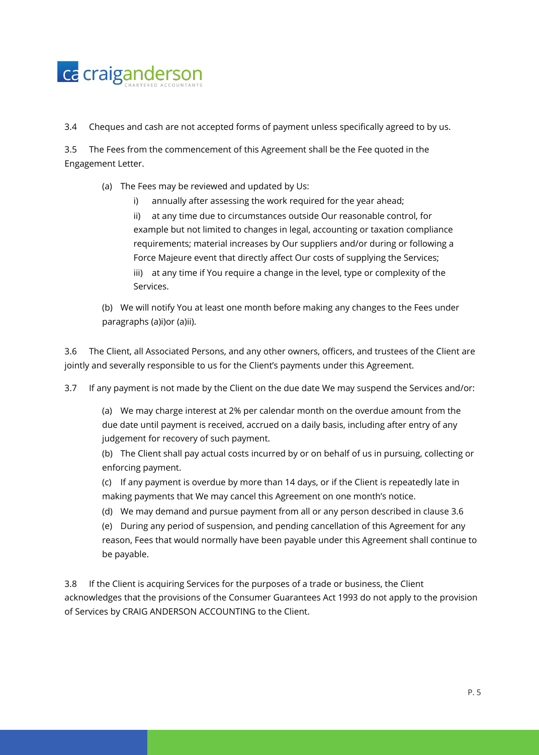

3.4 Cheques and cash are not accepted forms of payment unless specifically agreed to by us.

3.5 The Fees from the commencement of this Agreement shall be the Fee quoted in the Engagement Letter.

- (a) The Fees may be reviewed and updated by Us:
	- i) annually after assessing the work required for the year ahead;
	- ii) at any time due to circumstances outside Our reasonable control, for example but not limited to changes in legal, accounting or taxation compliance requirements; material increases by Our suppliers and/or during or following a Force Majeure event that directly affect Our costs of supplying the Services; iii) at any time if You require a change in the level, type or complexity of the Services.
- (b) We will notify You at least one month before making any changes to the Fees under paragraphs (a)i)or (a)ii).

3.6 The Client, all Associated Persons, and any other owners, officers, and trustees of the Client are jointly and severally responsible to us for the Client's payments under this Agreement.

3.7 If any payment is not made by the Client on the due date We may suspend the Services and/or:

(a) We may charge interest at 2% per calendar month on the overdue amount from the due date until payment is received, accrued on a daily basis, including after entry of any judgement for recovery of such payment.

(b) The Client shall pay actual costs incurred by or on behalf of us in pursuing, collecting or enforcing payment.

(c) If any payment is overdue by more than 14 days, or if the Client is repeatedly late in making payments that We may cancel this Agreement on one month's notice.

(d) We may demand and pursue payment from all or any person described in clause 3.6

(e) During any period of suspension, and pending cancellation of this Agreement for any reason, Fees that would normally have been payable under this Agreement shall continue to be payable.

3.8 If the Client is acquiring Services for the purposes of a trade or business, the Client acknowledges that the provisions of the Consumer Guarantees Act 1993 do not apply to the provision of Services by CRAIG ANDERSON ACCOUNTING to the Client.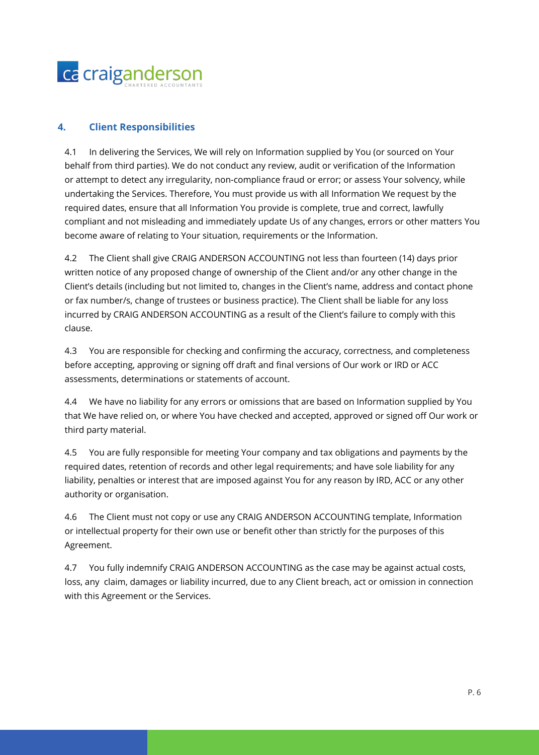

### **4. Client Responsibilities**

4.1 In delivering the Services, We will rely on Information supplied by You (or sourced on Your behalf from third parties). We do not conduct any review, audit or verification of the Information or attempt to detect any irregularity, non-compliance fraud or error; or assess Your solvency, while undertaking the Services. Therefore, You must provide us with all Information We request by the required dates, ensure that all Information You provide is complete, true and correct, lawfully compliant and not misleading and immediately update Us of any changes, errors or other matters You become aware of relating to Your situation, requirements or the Information.

4.2 The Client shall give CRAIG ANDERSON ACCOUNTING not less than fourteen (14) days prior written notice of any proposed change of ownership of the Client and/or any other change in the Client's details (including but not limited to, changes in the Client's name, address and contact phone or fax number/s, change of trustees or business practice). The Client shall be liable for any loss incurred by CRAIG ANDERSON ACCOUNTING as a result of the Client's failure to comply with this clause.

4.3 You are responsible for checking and confirming the accuracy, correctness, and completeness before accepting, approving or signing off draft and final versions of Our work or IRD or ACC assessments, determinations or statements of account.

4.4 We have no liability for any errors or omissions that are based on Information supplied by You that We have relied on, or where You have checked and accepted, approved or signed off Our work or third party material.

4.5 You are fully responsible for meeting Your company and tax obligations and payments by the required dates, retention of records and other legal requirements; and have sole liability for any liability, penalties or interest that are imposed against You for any reason by IRD, ACC or any other authority or organisation.

4.6 The Client must not copy or use any CRAIG ANDERSON ACCOUNTING template, Information or intellectual property for their own use or benefit other than strictly for the purposes of this Agreement.

4.7 You fully indemnify CRAIG ANDERSON ACCOUNTING as the case may be against actual costs, loss, any claim, damages or liability incurred, due to any Client breach, act or omission in connection with this Agreement or the Services.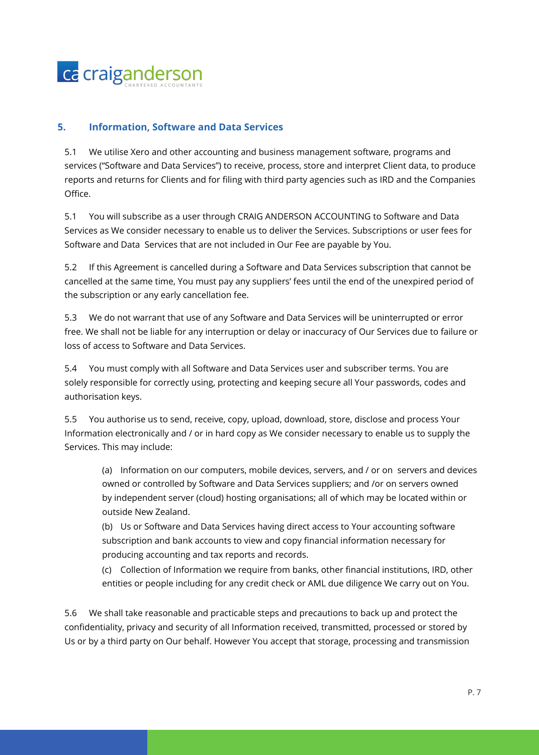

# **5. Information, Software and Data Services**

5.1 We utilise Xero and other accounting and business management software, programs and services ("Software and Data Services") to receive, process, store and interpret Client data, to produce reports and returns for Clients and for filing with third party agencies such as IRD and the Companies Office.

5.1 You will subscribe as a user through CRAIG ANDERSON ACCOUNTING to Software and Data Services as We consider necessary to enable us to deliver the Services. Subscriptions or user fees for Software and Data Services that are not included in Our Fee are payable by You.

5.2 If this Agreement is cancelled during a Software and Data Services subscription that cannot be cancelled at the same time, You must pay any suppliers' fees until the end of the unexpired period of the subscription or any early cancellation fee.

5.3 We do not warrant that use of any Software and Data Services will be uninterrupted or error free. We shall not be liable for any interruption or delay or inaccuracy of Our Services due to failure or loss of access to Software and Data Services.

5.4 You must comply with all Software and Data Services user and subscriber terms. You are solely responsible for correctly using, protecting and keeping secure all Your passwords, codes and authorisation keys.

5.5 You authorise us to send, receive, copy, upload, download, store, disclose and process Your Information electronically and / or in hard copy as We consider necessary to enable us to supply the Services. This may include:

(a) Information on our computers, mobile devices, servers, and / or on servers and devices owned or controlled by Software and Data Services suppliers; and /or on servers owned by independent server (cloud) hosting organisations; all of which may be located within or outside New Zealand.

(b) Us or Software and Data Services having direct access to Your accounting software subscription and bank accounts to view and copy financial information necessary for producing accounting and tax reports and records.

(c) Collection of Information we require from banks, other financial institutions, IRD, other entities or people including for any credit check or AML due diligence We carry out on You.

5.6 We shall take reasonable and practicable steps and precautions to back up and protect the confidentiality, privacy and security of all Information received, transmitted, processed or stored by Us or by a third party on Our behalf. However You accept that storage, processing and transmission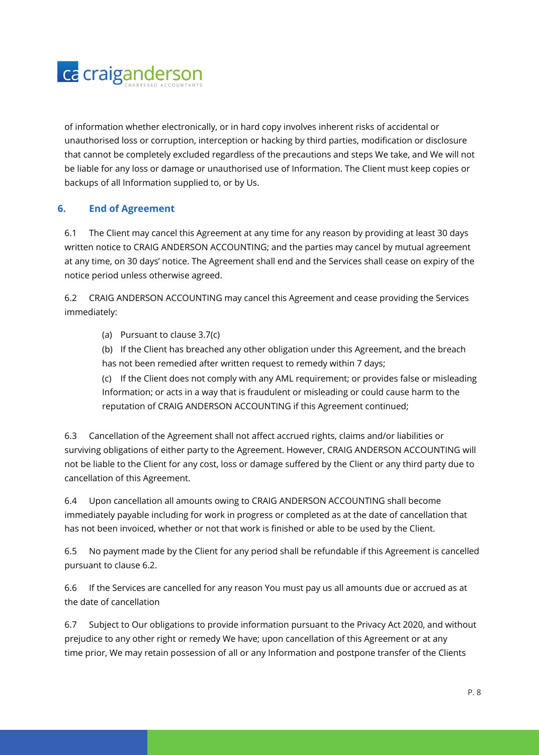

of information whether electronically, or in hard copy involves inherent risks of accidental or unauthorised loss or corruption, interception or hacking by third parties, modification or disclosure that cannot be completely excluded regardless of the precautions and steps We take, and We will not be liable for any loss or damage or unauthorised use of Information. The Client must keep copies or backups of all Information supplied to, or by Us.

# **6. End of Agreement**

6.1 The Client may cancel this Agreement at any time for any reason by providing at least 30 days written notice to CRAIG ANDERSON ACCOUNTING; and the parties may cancel by mutual agreement at any time, on 30 days' notice. The Agreement shall end and the Services shall cease on expiry of the notice period unless otherwise agreed.

6.2 CRAIG ANDERSON ACCOUNTING may cancel this Agreement and cease providing the Services immediately:

- (a) Pursuant to clause 3.7(c)
- (b) If the Client has breached any other obligation under this Agreement, and the breach has not been remedied after written request to remedy within 7 days;

(c) If the Client does not comply with any AML requirement; or provides false or misleading Information; or acts in a way that is fraudulent or misleading or could cause harm to the reputation of CRAIG ANDERSON ACCOUNTING if this Agreement continued;

6.3 Cancellation of the Agreement shall not affect accrued rights, claims and/or liabilities or surviving obligations of either party to the Agreement. However, CRAIG ANDERSON ACCOUNTING will not be liable to the Client for any cost, loss or damage suffered by the Client or any third party due to cancellation of this Agreement.

6.4 Upon cancellation all amounts owing to CRAIG ANDERSON ACCOUNTING shall become immediately payable including for work in progress or completed as at the date of cancellation that has not been invoiced, whether or not that work is finished or able to be used by the Client.

6.5 No payment made by the Client for any period shall be refundable if this Agreement is cancelled pursuant to clause 6.2.

6.6 If the Services are cancelled for any reason You must pay us all amounts due or accrued as at the date of cancellation

6.7 Subject to Our obligations to provide information pursuant to the Privacy Act 2020, and without prejudice to any other right or remedy We have; upon cancellation of this Agreement or at any time prior, We may retain possession of all or any Information and postpone transfer of the Clients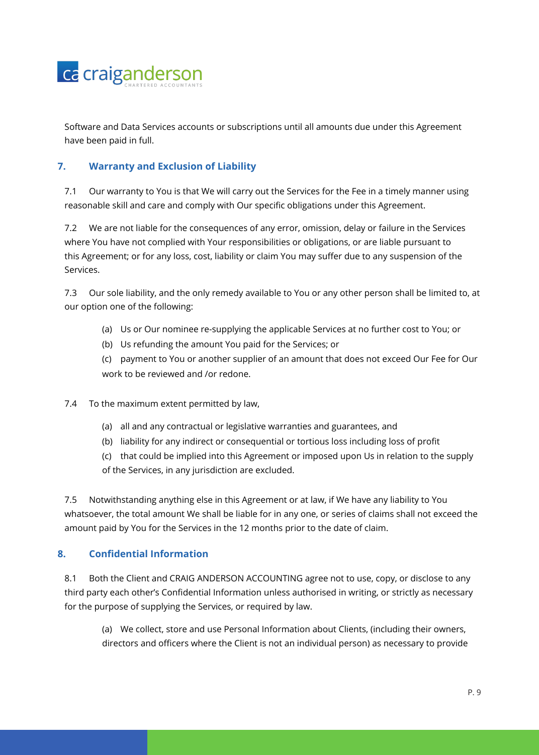

Software and Data Services accounts or subscriptions until all amounts due under this Agreement have been paid in full.

# **7. Warranty and Exclusion of Liability**

7.1 Our warranty to You is that We will carry out the Services for the Fee in a timely manner using reasonable skill and care and comply with Our specific obligations under this Agreement.

7.2 We are not liable for the consequences of any error, omission, delay or failure in the Services where You have not complied with Your responsibilities or obligations, or are liable pursuant to this Agreement; or for any loss, cost, liability or claim You may suffer due to any suspension of the Services.

7.3 Our sole liability, and the only remedy available to You or any other person shall be limited to, at our option one of the following:

- (a) Us or Our nominee re-supplying the applicable Services at no further cost to You; or
- (b) Us refunding the amount You paid for the Services; or

(c) payment to You or another supplier of an amount that does not exceed Our Fee for Our work to be reviewed and /or redone.

7.4 To the maximum extent permitted by law,

- (a) all and any contractual or legislative warranties and guarantees, and
- (b) liability for any indirect or consequential or tortious loss including loss of profit
- (c) that could be implied into this Agreement or imposed upon Us in relation to the supply

of the Services, in any jurisdiction are excluded.

7.5 Notwithstanding anything else in this Agreement or at law, if We have any liability to You whatsoever, the total amount We shall be liable for in any one, or series of claims shall not exceed the amount paid by You for the Services in the 12 months prior to the date of claim.

# **8. Confidential Information**

8.1 Both the Client and CRAIG ANDERSON ACCOUNTING agree not to use, copy, or disclose to any third party each other's Confidential Information unless authorised in writing, or strictly as necessary for the purpose of supplying the Services, or required by law.

(a) We collect, store and use Personal Information about Clients, (including their owners, directors and officers where the Client is not an individual person) as necessary to provide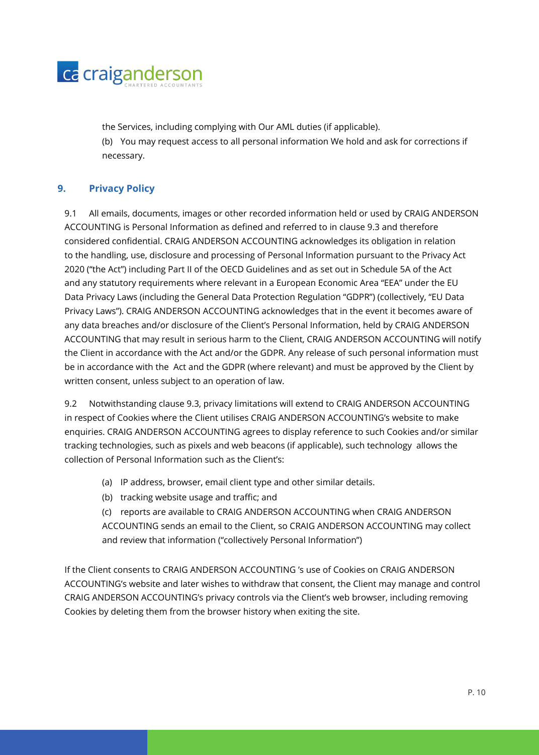

the Services, including complying with Our AML duties (if applicable). (b) You may request access to all personal information We hold and ask for corrections if necessary.

# **9. Privacy Policy**

9.1 All emails, documents, images or other recorded information held or used by CRAIG ANDERSON ACCOUNTING is Personal Information as defined and referred to in clause 9.3 and therefore considered confidential. CRAIG ANDERSON ACCOUNTING acknowledges its obligation in relation to the handling, use, disclosure and processing of Personal Information pursuant to the Privacy Act 2020 ("the Act") including Part II of the OECD Guidelines and as set out in Schedule 5A of the Act and any statutory requirements where relevant in a European Economic Area "EEA" under the EU Data Privacy Laws (including the General Data Protection Regulation "GDPR") (collectively, "EU Data Privacy Laws"). CRAIG ANDERSON ACCOUNTING acknowledges that in the event it becomes aware of any data breaches and/or disclosure of the Client's Personal Information, held by CRAIG ANDERSON ACCOUNTING that may result in serious harm to the Client, CRAIG ANDERSON ACCOUNTING will notify the Client in accordance with the Act and/or the GDPR. Any release of such personal information must be in accordance with the Act and the GDPR (where relevant) and must be approved by the Client by written consent, unless subject to an operation of law.

9.2 Notwithstanding clause 9.3, privacy limitations will extend to CRAIG ANDERSON ACCOUNTING in respect of Cookies where the Client utilises CRAIG ANDERSON ACCOUNTING's website to make enquiries. CRAIG ANDERSON ACCOUNTING agrees to display reference to such Cookies and/or similar tracking technologies, such as pixels and web beacons (if applicable), such technology allows the collection of Personal Information such as the Client's:

- (a) IP address, browser, email client type and other similar details.
- (b) tracking website usage and traffic; and
- (c) reports are available to CRAIG ANDERSON ACCOUNTING when CRAIG ANDERSON ACCOUNTING sends an email to the Client, so CRAIG ANDERSON ACCOUNTING may collect and review that information ("collectively Personal Information")

If the Client consents to CRAIG ANDERSON ACCOUNTING 's use of Cookies on CRAIG ANDERSON ACCOUNTING's website and later wishes to withdraw that consent, the Client may manage and control CRAIG ANDERSON ACCOUNTING's privacy controls via the Client's web browser, including removing Cookies by deleting them from the browser history when exiting the site.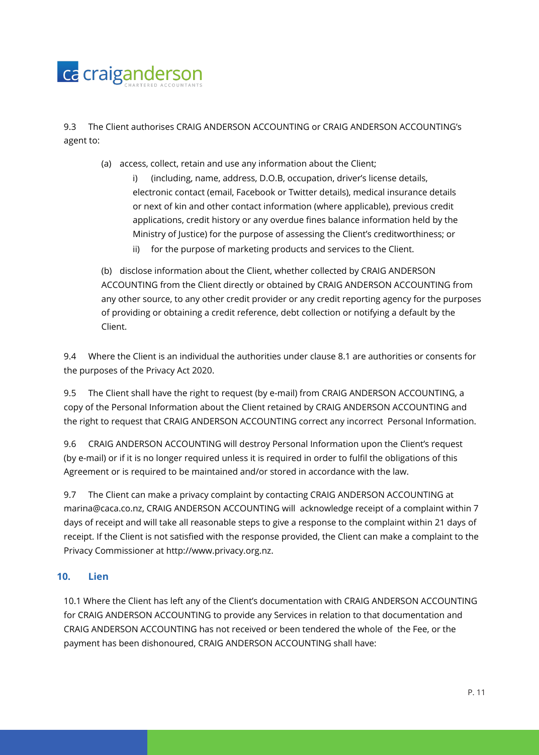

9.3 The Client authorises CRAIG ANDERSON ACCOUNTING or CRAIG ANDERSON ACCOUNTING's agent to:

- (a) access, collect, retain and use any information about the Client;
	- i) (including, name, address, D.O.B, occupation, driver's license details, electronic contact (email, Facebook or Twitter details), medical insurance details or next of kin and other contact information (where applicable), previous credit applications, credit history or any overdue fines balance information held by the Ministry of Justice) for the purpose of assessing the Client's creditworthiness; or
		- ii) for the purpose of marketing products and services to the Client.

(b) disclose information about the Client, whether collected by CRAIG ANDERSON ACCOUNTING from the Client directly or obtained by CRAIG ANDERSON ACCOUNTING from any other source, to any other credit provider or any credit reporting agency for the purposes of providing or obtaining a credit reference, debt collection or notifying a default by the Client.

9.4 Where the Client is an individual the authorities under clause 8.1 are authorities or consents for the purposes of the Privacy Act 2020.

9.5 The Client shall have the right to request (by e-mail) from CRAIG ANDERSON ACCOUNTING, a copy of the Personal Information about the Client retained by CRAIG ANDERSON ACCOUNTING and the right to request that CRAIG ANDERSON ACCOUNTING correct any incorrect Personal Information.

9.6 CRAIG ANDERSON ACCOUNTING will destroy Personal Information upon the Client's request (by e-mail) or if it is no longer required unless it is required in order to fulfil the obligations of this Agreement or is required to be maintained and/or stored in accordance with the law.

9.7 The Client can make a privacy complaint by contacting CRAIG ANDERSON ACCOUNTING at marina@caca.co.nz, CRAIG ANDERSON ACCOUNTING will acknowledge receipt of a complaint within 7 days of receipt and will take all reasonable steps to give a response to the complaint within 21 days of receipt. If the Client is not satisfied with the response provided, the Client can make a complaint to the Privacy Commissioner at http://www.privacy.org.nz.

#### **10. Lien**

10.1 Where the Client has left any of the Client's documentation with CRAIG ANDERSON ACCOUNTING for CRAIG ANDERSON ACCOUNTING to provide any Services in relation to that documentation and CRAIG ANDERSON ACCOUNTING has not received or been tendered the whole of the Fee, or the payment has been dishonoured, CRAIG ANDERSON ACCOUNTING shall have: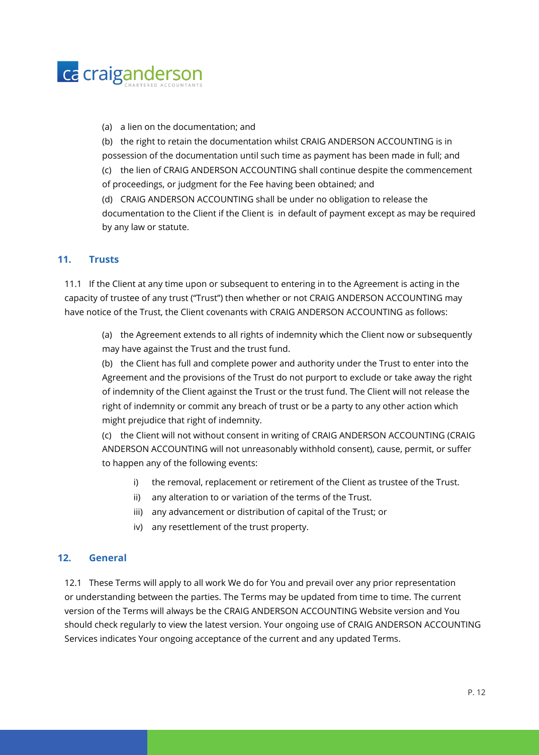

(a) a lien on the documentation; and

(b) the right to retain the documentation whilst CRAIG ANDERSON ACCOUNTING is in possession of the documentation until such time as payment has been made in full; and (c) the lien of CRAIG ANDERSON ACCOUNTING shall continue despite the commencement

of proceedings, or judgment for the Fee having been obtained; and

(d) CRAIG ANDERSON ACCOUNTING shall be under no obligation to release the documentation to the Client if the Client is in default of payment except as may be required by any law or statute.

#### **11. Trusts**

11.1 If the Client at any time upon or subsequent to entering in to the Agreement is acting in the capacity of trustee of any trust ("Trust") then whether or not CRAIG ANDERSON ACCOUNTING may have notice of the Trust, the Client covenants with CRAIG ANDERSON ACCOUNTING as follows:

(a) the Agreement extends to all rights of indemnity which the Client now or subsequently may have against the Trust and the trust fund.

(b) the Client has full and complete power and authority under the Trust to enter into the Agreement and the provisions of the Trust do not purport to exclude or take away the right of indemnity of the Client against the Trust or the trust fund. The Client will not release the right of indemnity or commit any breach of trust or be a party to any other action which might prejudice that right of indemnity.

(c) the Client will not without consent in writing of CRAIG ANDERSON ACCOUNTING (CRAIG ANDERSON ACCOUNTING will not unreasonably withhold consent), cause, permit, or suffer to happen any of the following events:

- i) the removal, replacement or retirement of the Client as trustee of the Trust.
- ii) any alteration to or variation of the terms of the Trust.
- iii) any advancement or distribution of capital of the Trust; or
- iv) any resettlement of the trust property.

#### **12. General**

12.1 These Terms will apply to all work We do for You and prevail over any prior representation or understanding between the parties. The Terms may be updated from time to time. The current version of the Terms will always be the CRAIG ANDERSON ACCOUNTING Website version and You should check regularly to view the latest version. Your ongoing use of CRAIG ANDERSON ACCOUNTING Services indicates Your ongoing acceptance of the current and any updated Terms.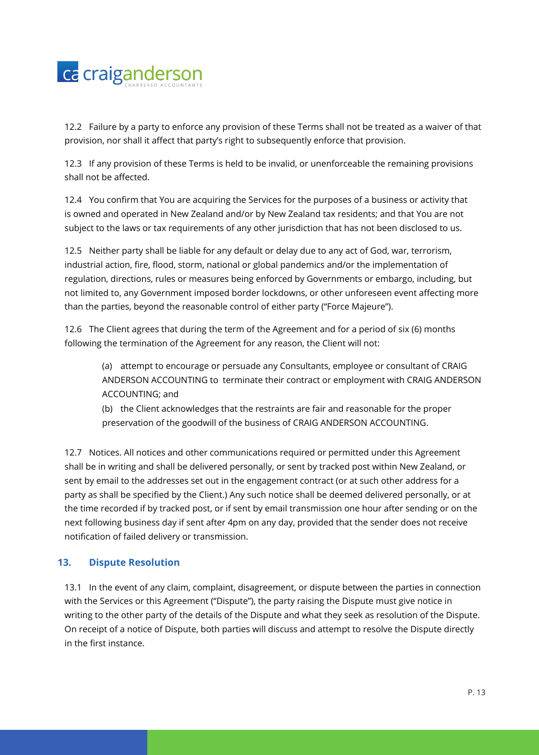

12.2 Failure by a party to enforce any provision of these Terms shall not be treated as a waiver of that provision, nor shall it affect that party's right to subsequently enforce that provision.

12.3 If any provision of these Terms is held to be invalid, or unenforceable the remaining provisions shall not be affected.

12.4 You confirm that You are acquiring the Services for the purposes of a business or activity that is owned and operated in New Zealand and/or by New Zealand tax residents; and that You are not subject to the laws or tax requirements of any other jurisdiction that has not been disclosed to us.

12.5 Neither party shall be liable for any default or delay due to any act of God, war, terrorism, industrial action, fire, flood, storm, national or global pandemics and/or the implementation of regulation, directions, rules or measures being enforced by Governments or embargo, including, but not limited to, any Government imposed border lockdowns, or other unforeseen event affecting more than the parties, beyond the reasonable control of either party ("Force Majeure").

12.6 The Client agrees that during the term of the Agreement and for a period of six (6) months following the termination of the Agreement for any reason, the Client will not:

(a) attempt to encourage or persuade any Consultants, employee or consultant of CRAIG ANDERSON ACCOUNTING to terminate their contract or employment with CRAIG ANDERSON ACCOUNTING; and

(b) the Client acknowledges that the restraints are fair and reasonable for the proper preservation of the goodwill of the business of CRAIG ANDERSON ACCOUNTING.

12.7 Notices. All notices and other communications required or permitted under this Agreement shall be in writing and shall be delivered personally, or sent by tracked post within New Zealand, or sent by email to the addresses set out in the engagement contract (or at such other address for a party as shall be specified by the Client.) Any such notice shall be deemed delivered personally, or at the time recorded if by tracked post, or if sent by email transmission one hour after sending or on the next following business day if sent after 4pm on any day, provided that the sender does not receive notification of failed delivery or transmission.

# **13. Dispute Resolution**

13.1 In the event of any claim, complaint, disagreement, or dispute between the parties in connection with the Services or this Agreement ("Dispute"), the party raising the Dispute must give notice in writing to the other party of the details of the Dispute and what they seek as resolution of the Dispute. On receipt of a notice of Dispute, both parties will discuss and attempt to resolve the Dispute directly in the first instance.